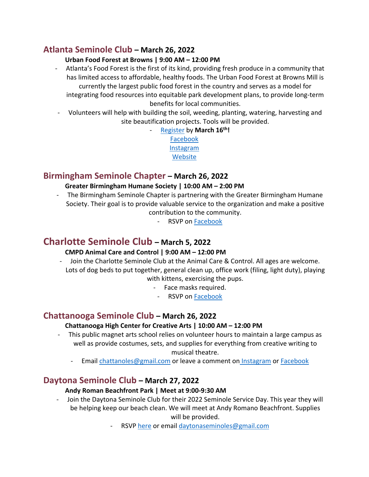# **Atlanta Seminole Club – March 26, 2022**

### **Urban Food Forest at Browns | 9:00 AM – 12:00 PM**

- Atlanta's Food Forest is the first of its kind, providing fresh produce in a community that has limited access to affordable, healthy foods. The Urban Food Forest at Browns Mill is currently the largest public food forest in the country and serves as a model for integrating food resources into equitable park development plans, to provide long-term benefits for local communities.
- Volunteers will help with building the soil, weeding, planting, watering, harvesting and site beautification projects. Tools will be provided.
	- [Register](https://treesatlanta.secure.force.com/GW_Volunteers__VolunteersJobListingFS?nMonthsToShow=6&ShowNumberAvailable=1&JobID=a0T5w00000mN3bu) by **March 16th!** [Facebook](https://www.facebook.com/atlantaseminoles) [Instagram](https://www.instagram.com/atlantaseminoleclub/?hl=en) **[Website](https://www.atlantaseminoles.com/)**

# **Birmingham Seminole Chapter – March 26, 2022**

### **Greater Birmingham Humane Society | 10:00 AM – 2:00 PM**

- The Birmingham Seminole Chapter is partnering with the Greater Birmingham Humane Society. Their goal is to provide valuable service to the organization and make a positive contribution to the community.
	- RSVP on [Facebook](https://www.facebook.com/events/352778146681362)

# **Charlotte Seminole Club – March 5, 2022**

### **CMPD Animal Care and Control | 9:00 AM – 12:00 PM**

- Join the Charlotte Seminole Club at the Animal Care & Control. All ages are welcome. Lots of dog beds to put together, general clean up, office work (filing, light duty), playing with kittens, exercising the pups.
	- Face masks required.
		- RSVP on [Facebook](https://www.facebook.com/events/1145078239564853?acontext=%7B%22event_action_history%22%3A%5b%7B%22surface%22%3A%22group%22%7D%5d%7D)

# **Chattanooga Seminole Club – March 26, 2022**

### **Chattanooga High Center for Creative Arts | 10:00 AM – 12:00 PM**

- This public magnet arts school relies on volunteer hours to maintain a large campus as well as provide costumes, sets, and supplies for everything from creative writing to musical theatre.
	- Email [chattanoles@gmail.com](mailto:chattanoles@gmail.com) or leave a comment on [Instagram](https://www.instagram.com/chattanoles/?hl=en) or [Facebook](https://www.facebook.com/ChattaNoles)

# **Daytona Seminole Club – March 27, 2022**

### **Andy Roman Beachfront Park | Meet at 9:00-9:30 AM**

- Join the Daytona Seminole Club for their 2022 Seminole Service Day. This year they will be helping keep our beach clean. We will meet at Andy Romano Beachfront. Supplies will be provided.
	- RSVP [here](https://www.facebook.com/events/679862073156828/?ref=newsfeed) or emai[l daytonaseminoles@gmail.com](mailto:daytonaseminoles@gmail.com)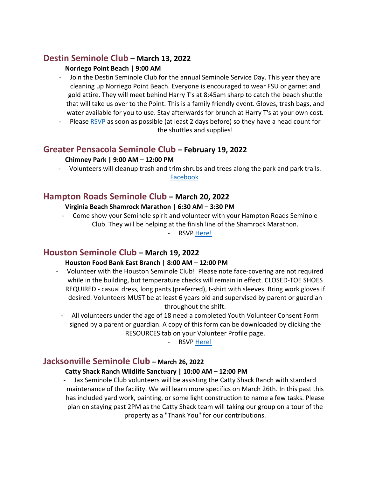## **Destin Seminole Club – March 13, 2022**

### **Norriego Point Beach | 9:00 AM**

- Join the Destin Seminole Club for the annual Seminole Service Day. This year they are cleaning up Norriego Point Beach. Everyone is encouraged to wear FSU or garnet and gold attire. They will meet behind Harry T's at 8:45am sharp to catch the beach shuttle that will take us over to the Point. This is a family friendly event. Gloves, trash bags, and water available for you to use. Stay afterwards for brunch at Harry T's at your own cost.
- Please [RSVP](https://www.facebook.com/destinseminoleclub) as soon as possible (at least 2 days before) so they have a head count for the shuttles and supplies!

## **Greater Pensacola Seminole Club – February 19, 2022**

### **Chimney Park | 9:00 AM – 12:00 PM**

- Volunteers will cleanup trash and trim shrubs and trees along the park and park trails.

[Facebook](https://www.facebook.com/Greater-Pensacola-Seminole-Club-123326635726843)

# **Hampton Roads Seminole Club – March 20, 2022**

### **Virginia Beach Shamrock Marathon | 6:30 AM – 3:30 PM**

- Come show your Seminole spirit and volunteer with your Hampton Roads Seminole Club. They will be helping at the finish line of the Shamrock Marathon.

RSVP [Here!](https://www.facebook.com/events/239140945041833?ref=newsfeed)

# **Houston Seminole Club – March 19, 2022**

### **Houston Food Bank East Branch | 8:00 AM – 12:00 PM**

- Volunteer with the Houston Seminole Club! Please note face-covering are not required while in the building, but temperature checks will remain in effect. CLOSED-TOE SHOES REQUIRED - casual dress, long pants (preferred), t-shirt with sleeves. Bring work gloves if desired. Volunteers MUST be at least 6 years old and supervised by parent or guardian throughout the shift.
	- All volunteers under the age of 18 need a completed Youth Volunteer Consent Form signed by a parent or guardian. A copy of this form can be downloaded by clicking the RESOURCES tab on your Volunteer Profile page.

- RSVP [Here!](https://houstonfoodbank.civicore.com/index.php?section=indGpRegistrations&action=login&fwID=69859&ret=section%3DindGpRegistrations%26action%3Dconditional%26fwID%3D69859)

# **Jacksonville Seminole Club – March 26, 2022**

### **Catty Shack Ranch Wildlife Sanctuary | 10:00 AM – 12:00 PM**

- Jax Seminole Club volunteers will be assisting the Catty Shack Ranch with standard maintenance of the facility. We will learn more specifics on March 26th. In this past this has included yard work, painting, or some light construction to name a few tasks. Please plan on staying past 2PM as the Catty Shack team will taking our group on a tour of the property as a "Thank You" for our contributions.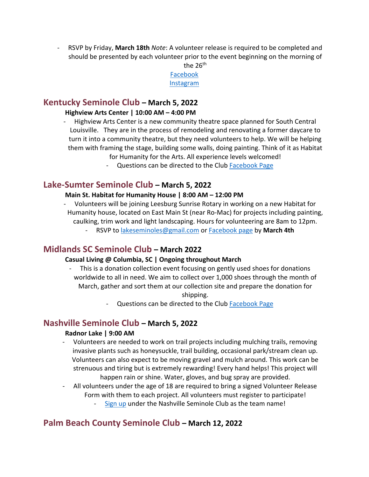- RSVP by Friday, **March 18th** *Note*: A volunteer release is required to be completed and should be presented by each volunteer prior to the event beginning on the morning of



# **Kentucky Seminole Club – March 5, 2022**

#### **Highview Arts Center | 10:00 AM – 4:00 PM**

- Highview Arts Center is a new community theatre space planned for South Central Louisville. They are in the process of remodeling and renovating a former daycare to turn it into a community theatre, but they need volunteers to help. We will be helping them with framing the stage, building some walls, doing painting. Think of it as Habitat for Humanity for the Arts. All experience levels welcomed!
	- Questions can be directed to the Club [Facebook Page](https://www.facebook.com/KentuckySeminoleClub)

## **Lake-Sumter Seminole Club – March 5, 2022**

### **Main St. Habitat for Humanity House | 8:00 AM – 12:00 PM**

- Volunteers will be joining Leesburg Sunrise Rotary in working on a new Habitat for Humanity house, located on East Main St (near Ro-Mac) for projects including painting, caulking, trim work and light landscaping. Hours for volunteering are 8am to 12pm.
	- RSVP to [lakeseminoles@gmail.com](mailto:lakeseminoles@gmail.com) or [Facebook page](https://www.facebook.com/LakeSumterSeminoleClub/) by **March 4th**

## **Midlands SC Seminole Club – March 2022**

### **Casual Living @ Columbia, SC | Ongoing throughout March**

This is a donation collection event focusing on gently used shoes for donations worldwide to all in need. We aim to collect over 1,000 shoes through the month of March, gather and sort them at our collection site and prepare the donation for

shipping.

- Questions can be directed to the Club [Facebook Page](https://www.facebook.com/groups/scseminoles)

## **Nashville Seminole Club – March 5, 2022**

### **Radnor Lake | 9:00 AM**

- Volunteers are needed to work on trail projects including mulching trails, removing invasive plants such as honeysuckle, trail building, occasional park/stream clean up. Volunteers can also expect to be moving gravel and mulch around. This work can be strenuous and tiring but is extremely rewarding! Every hand helps! This project will happen rain or shine. Water, gloves, and bug spray are provided.
- All volunteers under the age of 18 are required to bring a signed Volunteer Release Form with them to each project. All volunteers must register to participate!
	- [Sign up](https://www.hon.org/opportunity/a0C5a00000iO3d2EAC?) under the Nashville Seminole Club as the team name!

# **Palm Beach County Seminole Club – March 12, 2022**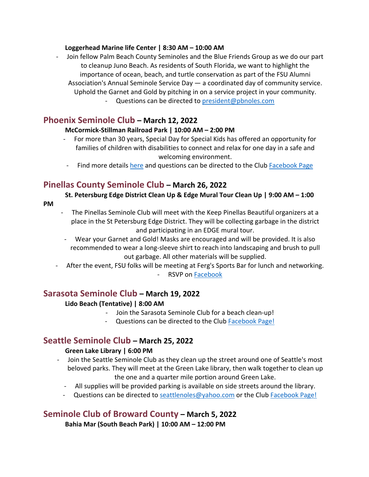#### **Loggerhead Marine life Center | 8:30 AM – 10:00 AM**

- Join fellow Palm Beach County Seminoles and the Blue Friends Group as we do our part to cleanup Juno Beach. As residents of South Florida, we want to highlight the importance of ocean, beach, and turtle conservation as part of the FSU Alumni Association's Annual Seminole Service Day — a coordinated day of community service. Uphold the Garnet and Gold by pitching in on a service project in your community.
	- Questions can be directed to [president@pbnoles.com](mailto:president@pbnoles.com)

### **Phoenix Seminole Club – March 12, 2022**

### **McCormick-Stillman Railroad Park | 10:00 AM – 2:00 PM**

- For more than 30 years, Special Day for Special Kids has offered an opportunity for families of children with disabilities to connect and relax for one day in a safe and welcoming environment.
- Find more detail[s here](https://raisingspecialkids.org/2022/01/2022-special-day-for-special-kids/) and questions can be directed to the Club [Facebook Page](https://www.facebook.com/groups/187811831279771)

## **Pinellas County Seminole Club – March 26, 2022**

### **St. Petersburg Edge District Clean Up & Edge Mural Tour Clean Up | 9:00 AM – 1:00**

- **PM**
- The Pinellas Seminole Club will meet with the Keep Pinellas Beautiful organizers at a place in the St Petersburg Edge District. They will be collecting garbage in the district and participating in an EDGE mural tour.
- Wear your Garnet and Gold! Masks are encouraged and will be provided. It is also recommended to wear a long-sleeve shirt to reach into landscaping and brush to pull out garbage. All other materials will be supplied.
- After the event, FSU folks will be meeting at Ferg's Sports Bar for lunch and networking. - RSVP on [Facebook](https://www.facebook.com/Pinellas.Seminole.Club)

## **Sarasota Seminole Club – March 19, 2022**

### **Lido Beach (Tentative) | 8:00 AM**

- Join the Sarasota Seminole Club for a beach clean-up!
- Questions can be directed to the Club [Facebook Page!](https://www.facebook.com/SarasotaSeminoleClub)

## **Seattle Seminole Club – March 25, 2022**

### **Green Lake Library | 6:00 PM**

- Join the Seattle Seminole Club as they clean up the street around one of Seattle's most beloved parks. They will meet at the Green Lake library, then walk together to clean up the one and a quarter mile portion around Green Lake.
	- All supplies will be provided parking is available on side streets around the library.
	- Questions can be directed to [seattlenoles@yahoo.com](mailto:seattlenoles@yahoo.com) or the Club [Facebook Page!](https://www.facebook.com/seattleseminoles/?ref=page_internal)

# **Seminole Club of Broward County – March 5, 2022**

**Bahia Mar (South Beach Park) | 10:00 AM – 12:00 PM**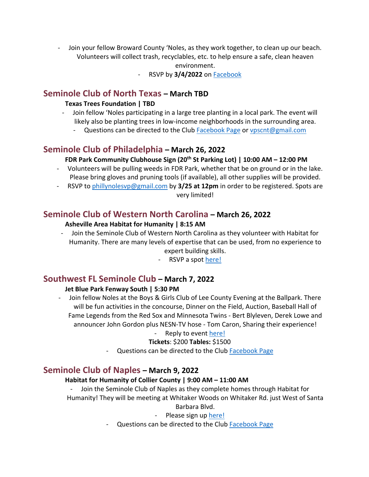Join your fellow Broward County 'Noles, as they work together, to clean up our beach. Volunteers will collect trash, recyclables, etc. to help ensure a safe, clean heaven

environment.

- RSVP by **3/4/2022** on [Facebook](https://www.facebook.com/BrowardNoles)

## **Seminole Club of North Texas – March TBD**

#### **Texas Trees Foundation | TBD**

- Join fellow 'Noles participating in a large tree planting in a local park. The event will likely also be planting trees in low-income neighborhoods in the surrounding area.
	- Questions can be directed to the Club [Facebook Page](https://www.facebook.com/seminoleclubnorthtexas) or [vpscnt@gmail.com](mailto:vpscnt@gmail.com)

## **Seminole Club of Philadelphia – March 26, 2022**

### **FDR Park Community Clubhouse Sign (20th St Parking Lot) | 10:00 AM – 12:00 PM**

- Volunteers will be pulling weeds in FDR Park, whether that be on ground or in the lake. Please bring gloves and pruning tools (if available), all other supplies will be provided.
- RSVP to [phillynolesvp@gmail.com b](mailto:phillynolesvp@gmail.com)y **3/25 at 12pm** in order to be registered. Spots are very limited!

## **Seminole Club of Western North Carolina – March 26, 2022**

#### **Asheville Area Habitat for Humanity | 8:15 AM**

- Join the Seminole Club of Western North Carolina as they volunteer with Habitat for Humanity. There are many levels of expertise that can be used, from no experience to expert building skills.
	- RSVP a spot [here!](https://aahh.volunteerlocal.com/volunteer/?id=56039)

## **Southwest FL Seminole Club – March 7, 2022**

### **Jet Blue Park Fenway South | 5:30 PM**

Join fellow Noles at the Boys & Girls Club of Lee County Evening at the Ballpark. There will be fun activities in the concourse, Dinner on the Field, Auction, Baseball Hall of Fame Legends from the Red Sox and Minnesota Twins - Bert Blyleven, Derek Lowe and announcer John Gordon plus NESN-TV hose - Tom Caron, Sharing their experience!

### - Reply to event [here!](http://bgclee.org/events/)

### **Tickets**: \$200 **Tables:** \$1500

- Questions can be directed to the Club [Facebook Page](https://www.facebook.com/SouthwestFloridaSeminoleClub)

## **Seminole Club of Naples – March 9, 2022**

### **Habitat for Humanity of Collier County | 9:00 AM – 11:00 AM**

- Join the Seminole Club of Naples as they complete homes through Habitat for Humanity! They will be meeting at Whitaker Woods on Whitaker Rd. just West of Santa Barbara Blvd.

### - Please sign up [here!](https://signin.volunteerhub.com/Account/SignIn?ReturnUrl=%2Fconnect%2Fauthorize%2Fcallback%3Fclient_id%3DVolunteerHub%26response_type%3Dcode%26scope%3Dopenid%26state%3DOpenIdConnect.AuthenticationProperties%253DYOrFiBTN3HWQawdp0EXtgfKi16x8B2T6Ryh5NgNLqPRpUd3TkkP4Ww2aRR8hVYqH4VfA8ErOiiBp0Sha2p2LFEF0tCr_ltj40AL4pM55ijTcoEKOjQyVyxXvcp7HgqTZADZyCQD0W4geE6zqOnHsBO5tUHw%26nonce%3D637812219662019310.YTdkNWNhMzAtZWNmYi00NzU4LWJmZDQtMTJkOTUyODQzZjE4M2E3YmU0YzUtYTZlNi00YmFiLWExMDItMjliNjdiZjhmNjZl%26code_challenge%3D7b_3r6MYqZYlco5iLbeIi1U-tb6Saiib-sAvGAbsiSg%26code_challenge_method%3DS256%26redirect_uri%3Dhttps%253A%252F%252Fhabitatcollier.volunteerhub.com%252Flp%252Ffsunaples%252FopenId-connect%26post_logout_redirect_uri%3Dhttps%253A%252F%252Fhabitatcollier.volunteerhub.com%252Flp%252Ffsunaples%252FopenId-connect%26orgUid%3D1f4ee41c-73db-4935-926d-b6a0dcdef95a%26landingPageUid%3Dbb1a48da-3380-4ef0-94d1-ec4b75aa0b51%26vhReturnUrl%3D%252Flp%252Ffsunaples%252F%26x-client-SKU%3DID_NET461%26x-client-ver%3D6.8.0.0#_=_)

- Questions can be directed to the Club [Facebook Page](https://www.facebook.com/volunteer/signups/271996075007244/?source_component=volunteering_event&source_surface=timeline)